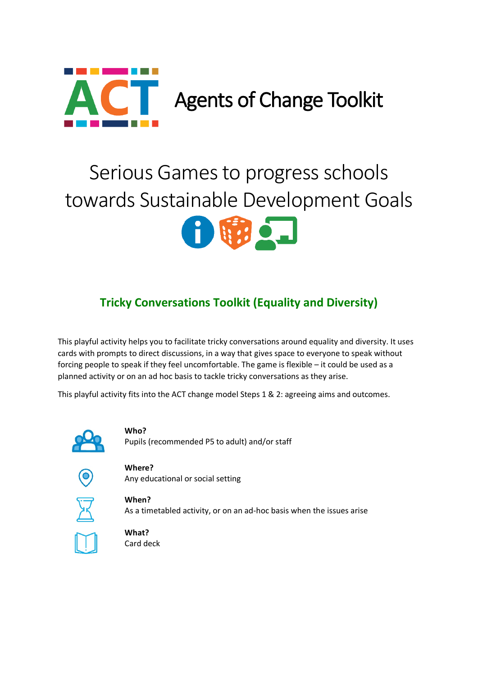

# Serious Games to progress schools towards Sustainable Development Goals



# **Tricky Conversations Toolkit (Equality and Diversity)**

This playful activity helps you to facilitate tricky conversations around equality and diversity. It uses cards with prompts to direct discussions, in a way that gives space to everyone to speak without forcing people to speak if they feel uncomfortable. The game is flexible – it could be used as a planned activity or on an ad hoc basis to tackle tricky conversations as they arise.

This playful activity fits into the ACT change model Steps 1 & 2: agreeing aims and outcomes.



**Who?** Pupils (recommended P5 to adult) and/or staff



**Where?** Any educational or social setting



As a timetabled activity, or on an ad-hoc basis when the issues arise



**What?** Card deck

**When?**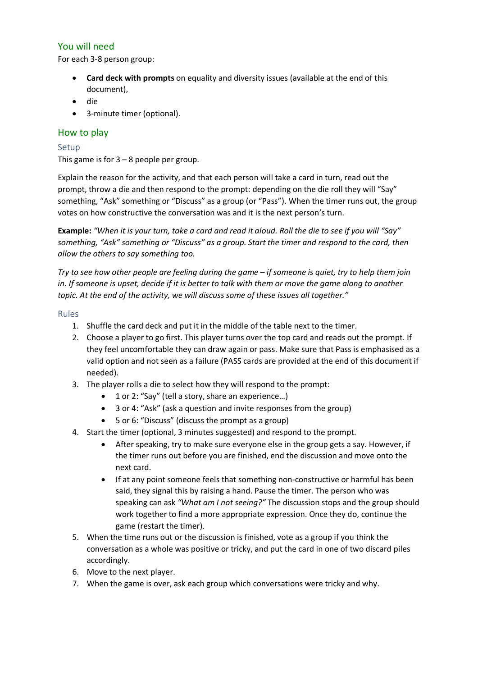# You will need

For each 3-8 person group:

- **Card deck with prompts** on equality and diversity issues (available at the end of this document),
- die
- 3-minute timer (optional).

# How to play

# Setup

This game is for  $3 - 8$  people per group.

Explain the reason for the activity, and that each person will take a card in turn, read out the prompt, throw a die and then respond to the prompt: depending on the die roll they will "Say" something, "Ask" something or "Discuss" as a group (or "Pass"). When the timer runs out, the group votes on how constructive the conversation was and it is the next person's turn.

**Example:** *"When it is your turn, take a card and read it aloud. Roll the die to see if you will "Say" something, "Ask" something or "Discuss" as a group. Start the timer and respond to the card, then allow the others to say something too.* 

*Try to see how other people are feeling during the game – if someone is quiet, try to help them join in. If someone is upset, decide if it is better to talk with them or move the game along to another topic. At the end of the activity, we will discuss some of these issues all together."*

#### Rules

- 1. Shuffle the card deck and put it in the middle of the table next to the timer.
- 2. Choose a player to go first. This player turns over the top card and reads out the prompt. If they feel uncomfortable they can draw again or pass. Make sure that Pass is emphasised as a valid option and not seen as a failure (PASS cards are provided at the end of this document if needed).
- 3. The player rolls a die to select how they will respond to the prompt:
	- 1 or 2: "Say" (tell a story, share an experience…)
	- 3 or 4: "Ask" (ask a question and invite responses from the group)
	- 5 or 6: "Discuss" (discuss the prompt as a group)
- 4. Start the timer (optional, 3 minutes suggested) and respond to the prompt.
	- After speaking, try to make sure everyone else in the group gets a say. However, if the timer runs out before you are finished, end the discussion and move onto the next card.
	- If at any point someone feels that something non-constructive or harmful has been said, they signal this by raising a hand. Pause the timer. The person who was speaking can ask *"What am I not seeing?"* The discussion stops and the group should work together to find a more appropriate expression. Once they do, continue the game (restart the timer).
- 5. When the time runs out or the discussion is finished, vote as a group if you think the conversation as a whole was positive or tricky, and put the card in one of two discard piles accordingly.
- 6. Move to the next player.
- 7. When the game is over, ask each group which conversations were tricky and why.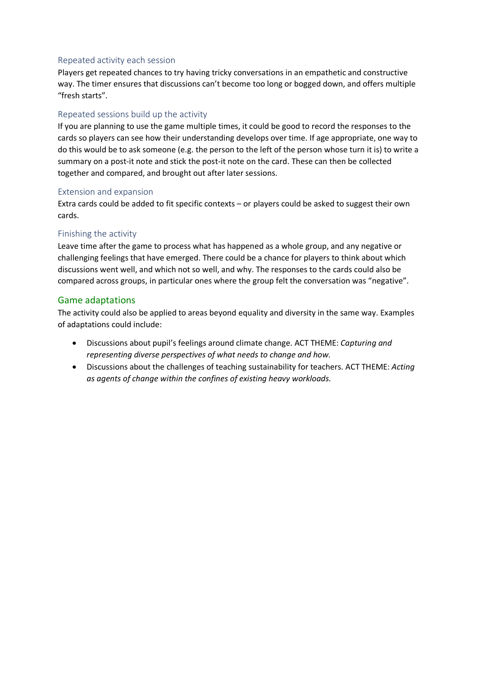# Repeated activity each session

Players get repeated chances to try having tricky conversations in an empathetic and constructive way. The timer ensures that discussions can't become too long or bogged down, and offers multiple "fresh starts".

# Repeated sessions build up the activity

If you are planning to use the game multiple times, it could be good to record the responses to the cards so players can see how their understanding develops over time. If age appropriate, one way to do this would be to ask someone (e.g. the person to the left of the person whose turn it is) to write a summary on a post-it note and stick the post-it note on the card. These can then be collected together and compared, and brought out after later sessions.

#### Extension and expansion

Extra cards could be added to fit specific contexts – or players could be asked to suggest their own cards.

# Finishing the activity

Leave time after the game to process what has happened as a whole group, and any negative or challenging feelings that have emerged. There could be a chance for players to think about which discussions went well, and which not so well, and why. The responses to the cards could also be compared across groups, in particular ones where the group felt the conversation was "negative".

# Game adaptations

The activity could also be applied to areas beyond equality and diversity in the same way. Examples of adaptations could include:

- Discussions about pupil's feelings around climate change. ACT THEME: *Capturing and representing diverse perspectives of what needs to change and how.*
- Discussions about the challenges of teaching sustainability for teachers. ACT THEME: *Acting as agents of change within the confines of existing heavy workloads.*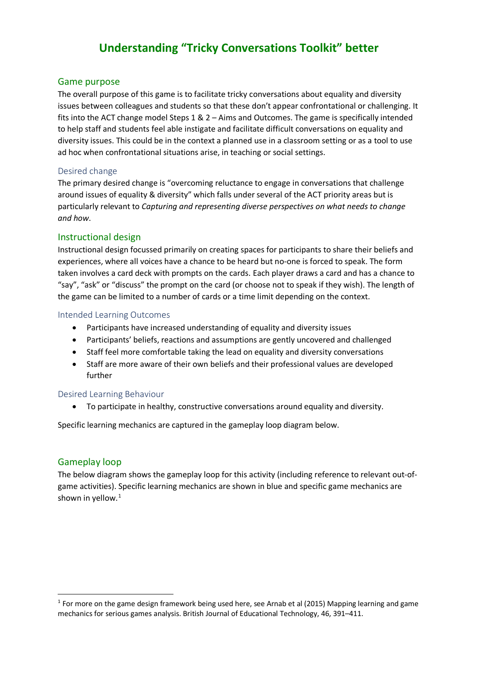# **Understanding "Tricky Conversations Toolkit" better**

# Game purpose

The overall purpose of this game is to facilitate tricky conversations about equality and diversity issues between colleagues and students so that these don't appear confrontational or challenging. It fits into the ACT change model Steps 1 & 2 – Aims and Outcomes. The game is specifically intended to help staff and students feel able instigate and facilitate difficult conversations on equality and diversity issues. This could be in the context a planned use in a classroom setting or as a tool to use ad hoc when confrontational situations arise, in teaching or social settings.

#### Desired change

The primary desired change is "overcoming reluctance to engage in conversations that challenge around issues of equality & diversity" which falls under several of the ACT priority areas but is particularly relevant to *Capturing and representing diverse perspectives on what needs to change and how*.

# Instructional design

Instructional design focussed primarily on creating spaces for participants to share their beliefs and experiences, where all voices have a chance to be heard but no-one is forced to speak. The form taken involves a card deck with prompts on the cards. Each player draws a card and has a chance to "say", "ask" or "discuss" the prompt on the card (or choose not to speak if they wish). The length of the game can be limited to a number of cards or a time limit depending on the context.

#### Intended Learning Outcomes

- Participants have increased understanding of equality and diversity issues
- Participants' beliefs, reactions and assumptions are gently uncovered and challenged
- Staff feel more comfortable taking the lead on equality and diversity conversations
- Staff are more aware of their own beliefs and their professional values are developed further

#### Desired Learning Behaviour

• To participate in healthy, constructive conversations around equality and diversity.

Specific learning mechanics are captured in the gameplay loop diagram below.

# Gameplay loop

The below diagram shows the gameplay loop for this activity (including reference to relevant out-ofgame activities). Specific learning mechanics are shown in blue and specific game mechanics are shown in yellow.<sup>[1](#page-3-0)</sup>

<span id="page-3-0"></span> $1$  For more on the game design framework being used here, see Arnab et al (2015) Mapping learning and game mechanics for serious games analysis. British Journal of Educational Technology, 46, 391–411.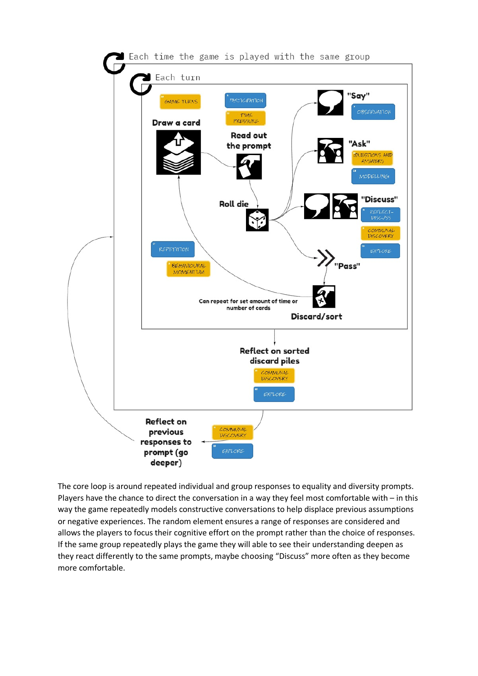

The core loop is around repeated individual and group responses to equality and diversity prompts. Players have the chance to direct the conversation in a way they feel most comfortable with – in this way the game repeatedly models constructive conversations to help displace previous assumptions or negative experiences. The random element ensures a range of responses are considered and allows the players to focus their cognitive effort on the prompt rather than the choice of responses. If the same group repeatedly plays the game they will able to see their understanding deepen as they react differently to the same prompts, maybe choosing "Discuss" more often as they become more comfortable.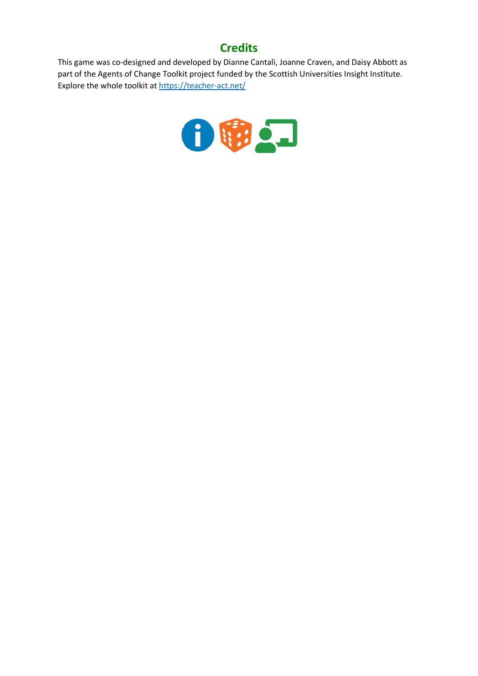# **Credits**

This game was co-designed and developed by Dianne Cantali, Joanne Craven, and Daisy Abbott as part of the Agents of Change Toolkit project funded by the Scottish Universities Insight Institute. Explore the whole toolkit at<https://teacher-act.net/>

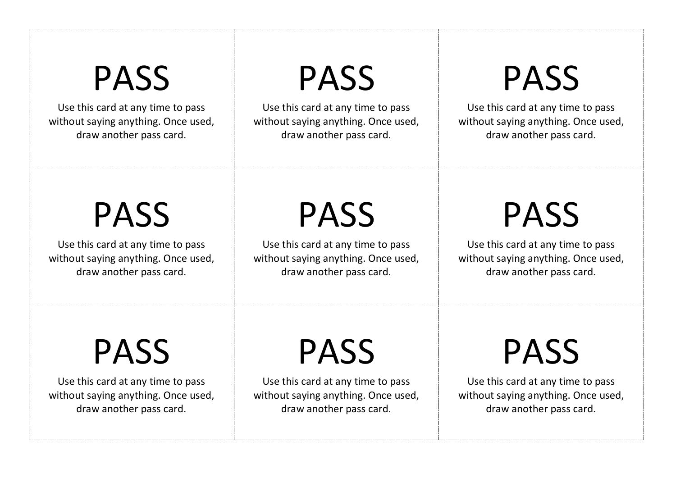| <b>PASS</b>                         | <b>PASS</b>                         | <b>PASS</b>                         |
|-------------------------------------|-------------------------------------|-------------------------------------|
| Use this card at any time to pass   | Use this card at any time to pass   | Use this card at any time to pass   |
| without saying anything. Once used, | without saying anything. Once used, | without saying anything. Once used, |
| draw another pass card.             | draw another pass card.             | draw another pass card.             |
| <b>PASS</b>                         | <b>PASS</b>                         | <b>PASS</b>                         |
| Use this card at any time to pass   | Use this card at any time to pass   | Use this card at any time to pass   |
| without saying anything. Once used, | without saying anything. Once used, | without saying anything. Once used, |
| draw another pass card.             | draw another pass card.             | draw another pass card.             |
| <b>PASS</b>                         | <b>PASS</b>                         | <b>PASS</b>                         |
| Use this card at any time to pass   | Use this card at any time to pass   | Use this card at any time to pass   |
| without saying anything. Once used, | without saying anything. Once used, | without saying anything. Once used, |
| draw another pass card.             | draw another pass card.             | draw another pass card.             |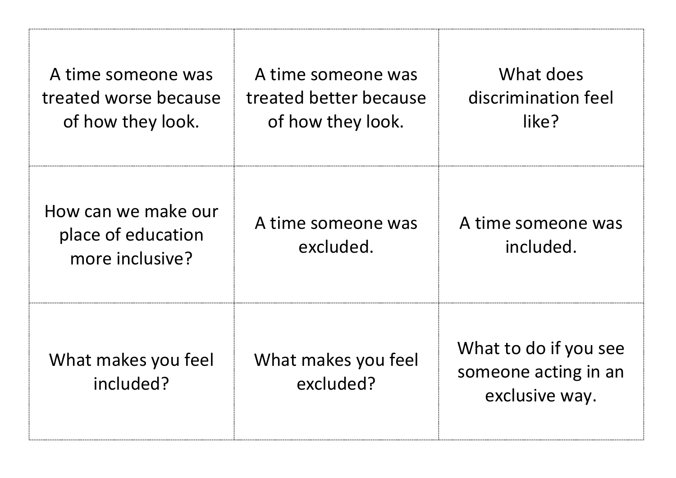| A time someone was<br>treated worse because<br>of how they look. | A time someone was<br>treated better because<br>of how they look. | What does<br>discrimination feel<br>like?                       |
|------------------------------------------------------------------|-------------------------------------------------------------------|-----------------------------------------------------------------|
| How can we make our<br>place of education<br>more inclusive?     | A time someone was<br>excluded.                                   | A time someone was<br>included.                                 |
| What makes you feel<br>included?                                 | What makes you feel<br>excluded?                                  | What to do if you see<br>someone acting in an<br>exclusive way. |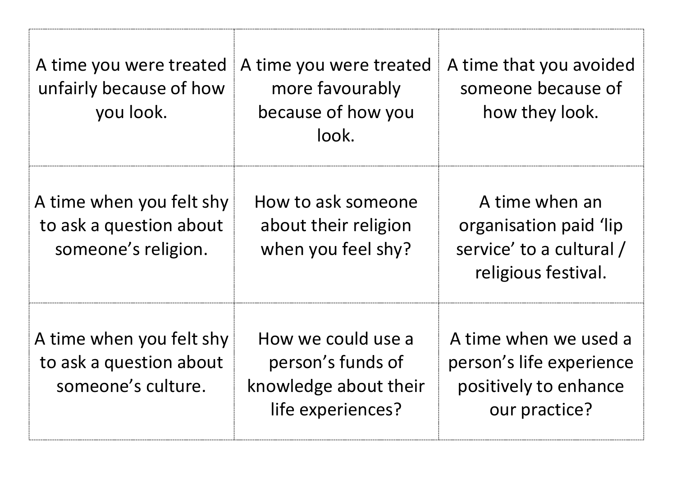| A time you were treated<br>unfairly because of how<br>you look.            | A time you were treated<br>more favourably<br>because of how you<br>look.             | A time that you avoided<br>someone because of<br>how they look.                             |
|----------------------------------------------------------------------------|---------------------------------------------------------------------------------------|---------------------------------------------------------------------------------------------|
| A time when you felt shy<br>to ask a question about<br>someone's religion. | How to ask someone<br>about their religion<br>when you feel shy?                      | A time when an<br>organisation paid 'lip<br>service' to a cultural /<br>religious festival. |
| A time when you felt shy<br>to ask a question about<br>someone's culture.  | How we could use a<br>person's funds of<br>knowledge about their<br>life experiences? | A time when we used a<br>person's life experience<br>positively to enhance<br>our practice? |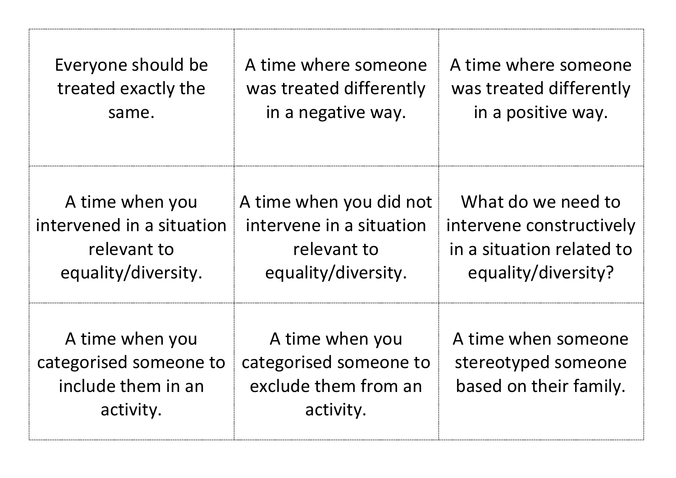| Everyone should be                                                           | A time where someone                                                           | A time where someone                                                 |
|------------------------------------------------------------------------------|--------------------------------------------------------------------------------|----------------------------------------------------------------------|
| treated exactly the                                                          | was treated differently                                                        | was treated differently                                              |
| same.                                                                        | in a negative way.                                                             | in a positive way.                                                   |
| A time when you                                                              | A time when you did not                                                        | What do we need to                                                   |
| intervened in a situation                                                    | intervene in a situation                                                       | intervene constructively                                             |
| relevant to                                                                  | relevant to                                                                    | in a situation related to                                            |
| equality/diversity.                                                          | equality/diversity.                                                            | equality/diversity?                                                  |
| A time when you<br>categorised someone to<br>include them in an<br>activity. | A time when you<br>categorised someone to<br>exclude them from an<br>activity. | A time when someone<br>stereotyped someone<br>based on their family. |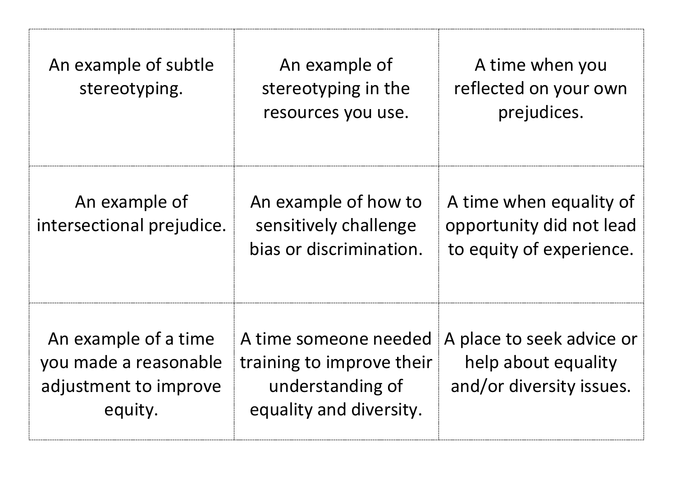| An example of subtle<br>stereotyping.                                             | An example of<br>stereotyping in the<br>resources you use.                                        | A time when you<br>reflected on your own<br>prejudices.                         |
|-----------------------------------------------------------------------------------|---------------------------------------------------------------------------------------------------|---------------------------------------------------------------------------------|
| An example of<br>intersectional prejudice.                                        | An example of how to<br>sensitively challenge<br>bias or discrimination.                          | A time when equality of<br>opportunity did not lead<br>to equity of experience. |
| An example of a time<br>you made a reasonable<br>adjustment to improve<br>equity. | A time someone needed<br>training to improve their<br>understanding of<br>equality and diversity. | A place to seek advice or<br>help about equality<br>and/or diversity issues.    |